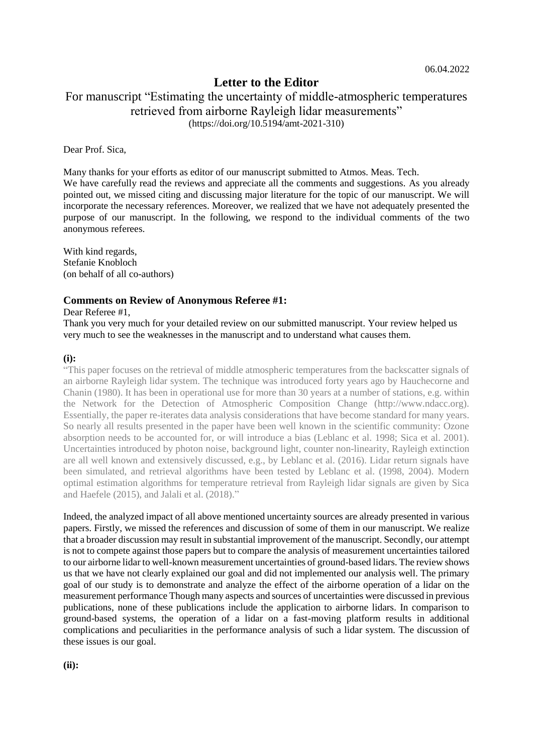# **Letter to the Editor**

# For manuscript "Estimating the uncertainty of middle-atmospheric temperatures retrieved from airborne Rayleigh lidar measurements" (https://doi.org/10.5194/amt-2021-310)

Dear Prof. Sica,

Many thanks for your efforts as editor of our manuscript submitted to Atmos. Meas. Tech. We have carefully read the reviews and appreciate all the comments and suggestions. As you already pointed out, we missed citing and discussing major literature for the topic of our manuscript. We will incorporate the necessary references. Moreover, we realized that we have not adequately presented the purpose of our manuscript. In the following, we respond to the individual comments of the two anonymous referees.

With kind regards, Stefanie Knobloch (on behalf of all co-authors)

#### **Comments on Review of Anonymous Referee #1:**

#### Dear Referee #1,

Thank you very much for your detailed review on our submitted manuscript. Your review helped us very much to see the weaknesses in the manuscript and to understand what causes them.

#### **(i):**

"This paper focuses on the retrieval of middle atmospheric temperatures from the backscatter signals of an airborne Rayleigh lidar system. The technique was introduced forty years ago by Hauchecorne and Chanin (1980). It has been in operational use for more than 30 years at a number of stations, e.g. within the Network for the Detection of Atmospheric Composition Change (http://www.ndacc.org). Essentially, the paper re-iterates data analysis considerations that have become standard for many years. So nearly all results presented in the paper have been well known in the scientific community: Ozone absorption needs to be accounted for, or will introduce a bias (Leblanc et al. 1998; Sica et al. 2001). Uncertainties introduced by photon noise, background light, counter non-linearity, Rayleigh extinction are all well known and extensively discussed, e.g., by Leblanc et al. (2016). Lidar return signals have been simulated, and retrieval algorithms have been tested by Leblanc et al. (1998, 2004). Modern optimal estimation algorithms for temperature retrieval from Rayleigh lidar signals are given by Sica and Haefele (2015), and Jalali et al. (2018)."

Indeed, the analyzed impact of all above mentioned uncertainty sources are already presented in various papers. Firstly, we missed the references and discussion of some of them in our manuscript. We realize that a broader discussion may result in substantial improvement of the manuscript. Secondly, our attempt is not to compete against those papers but to compare the analysis of measurement uncertainties tailored to our airborne lidar to well-known measurement uncertainties of ground-based lidars. The review shows us that we have not clearly explained our goal and did not implemented our analysis well. The primary goal of our study is to demonstrate and analyze the effect of the airborne operation of a lidar on the measurement performance Though many aspects and sources of uncertainties were discussed in previous publications, none of these publications include the application to airborne lidars. In comparison to ground-based systems, the operation of a lidar on a fast-moving platform results in additional complications and peculiarities in the performance analysis of such a lidar system. The discussion of these issues is our goal.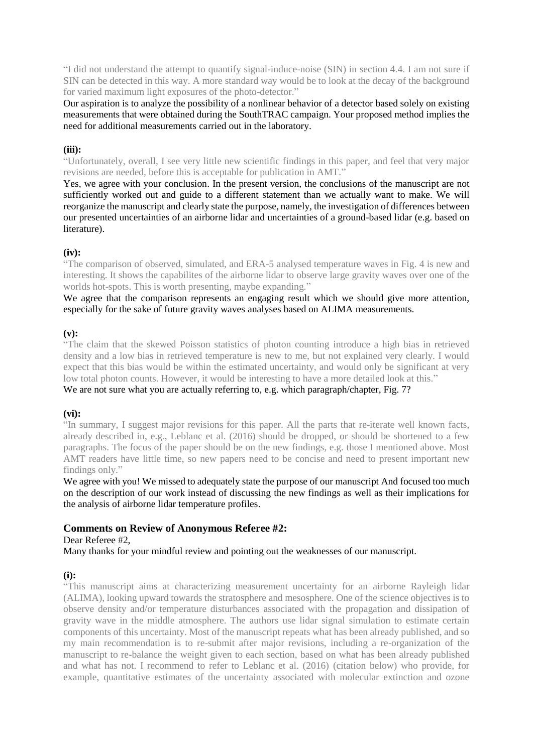"I did not understand the attempt to quantify signal-induce-noise (SIN) in section 4.4. I am not sure if SIN can be detected in this way. A more standard way would be to look at the decay of the background for varied maximum light exposures of the photo-detector."

Our aspiration is to analyze the possibility of a nonlinear behavior of a detector based solely on existing measurements that were obtained during the SouthTRAC campaign. Your proposed method implies the need for additional measurements carried out in the laboratory.

# **(iii):**

"Unfortunately, overall, I see very little new scientific findings in this paper, and feel that very major revisions are needed, before this is acceptable for publication in AMT."

Yes, we agree with your conclusion. In the present version, the conclusions of the manuscript are not sufficiently worked out and guide to a different statement than we actually want to make. We will reorganize the manuscript and clearly state the purpose, namely, the investigation of differences between our presented uncertainties of an airborne lidar and uncertainties of a ground-based lidar (e.g. based on literature).

# **(iv):**

"The comparison of observed, simulated, and ERA-5 analysed temperature waves in Fig. 4 is new and interesting. It shows the capabilites of the airborne lidar to observe large gravity waves over one of the worlds hot-spots. This is worth presenting, maybe expanding."

We agree that the comparison represents an engaging result which we should give more attention, especially for the sake of future gravity waves analyses based on ALIMA measurements.

# **(v):**

"The claim that the skewed Poisson statistics of photon counting introduce a high bias in retrieved density and a low bias in retrieved temperature is new to me, but not explained very clearly. I would expect that this bias would be within the estimated uncertainty, and would only be significant at very low total photon counts. However, it would be interesting to have a more detailed look at this."

# We are not sure what you are actually referring to, e.g. which paragraph/chapter, Fig. 7?

# **(vi):**

"In summary, I suggest major revisions for this paper. All the parts that re-iterate well known facts, already described in, e.g., Leblanc et al. (2016) should be dropped, or should be shortened to a few paragraphs. The focus of the paper should be on the new findings, e.g. those I mentioned above. Most AMT readers have little time, so new papers need to be concise and need to present important new findings only."

We agree with you! We missed to adequately state the purpose of our manuscript And focused too much on the description of our work instead of discussing the new findings as well as their implications for the analysis of airborne lidar temperature profiles.

# **Comments on Review of Anonymous Referee #2:**

Dear Referee #2,

Many thanks for your mindful review and pointing out the weaknesses of our manuscript.

# **(i):**

"This manuscript aims at characterizing measurement uncertainty for an airborne Rayleigh lidar (ALIMA), looking upward towards the stratosphere and mesosphere. One of the science objectives is to observe density and/or temperature disturbances associated with the propagation and dissipation of gravity wave in the middle atmosphere. The authors use lidar signal simulation to estimate certain components of this uncertainty. Most of the manuscript repeats what has been already published, and so my main recommendation is to re-submit after major revisions, including a re-organization of the manuscript to re-balance the weight given to each section, based on what has been already published and what has not. I recommend to refer to Leblanc et al. (2016) (citation below) who provide, for example, quantitative estimates of the uncertainty associated with molecular extinction and ozone